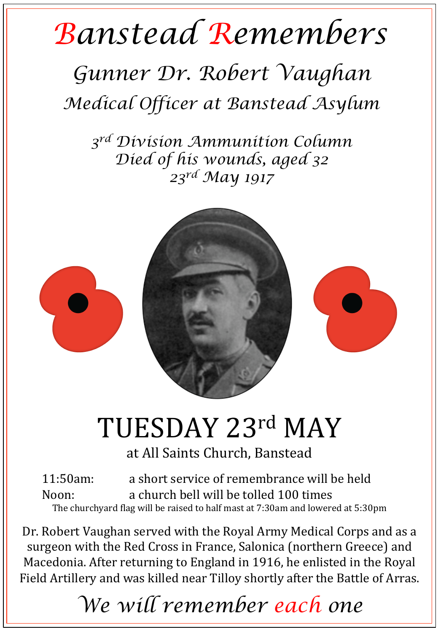## *Banstead Remembers*

## *Gunner Dr. Robert Vaughan Medical Officer at Banstead Asylum*

*3rd Division Ammunition Column Died of his wounds, aged 32 23rd May 1917* 



## TUESDAY 23rd MAY

at All Saints Church, Banstead

11:50am: a short service of remembrance will be held Noon: a church bell will be tolled 100 times The churchyard flag will be raised to half mast at 7:30am and lowered at 5:30pm

Dr. Robert Vaughan served with the Royal Army Medical Corps and as a surgeon with the Red Cross in France, Salonica (northern Greece) and Macedonia. After returning to England in 1916, he enlisted in the Royal Field Artillery and was killed near Tilloy shortly after the Battle of Arras.

*We will remember each one*